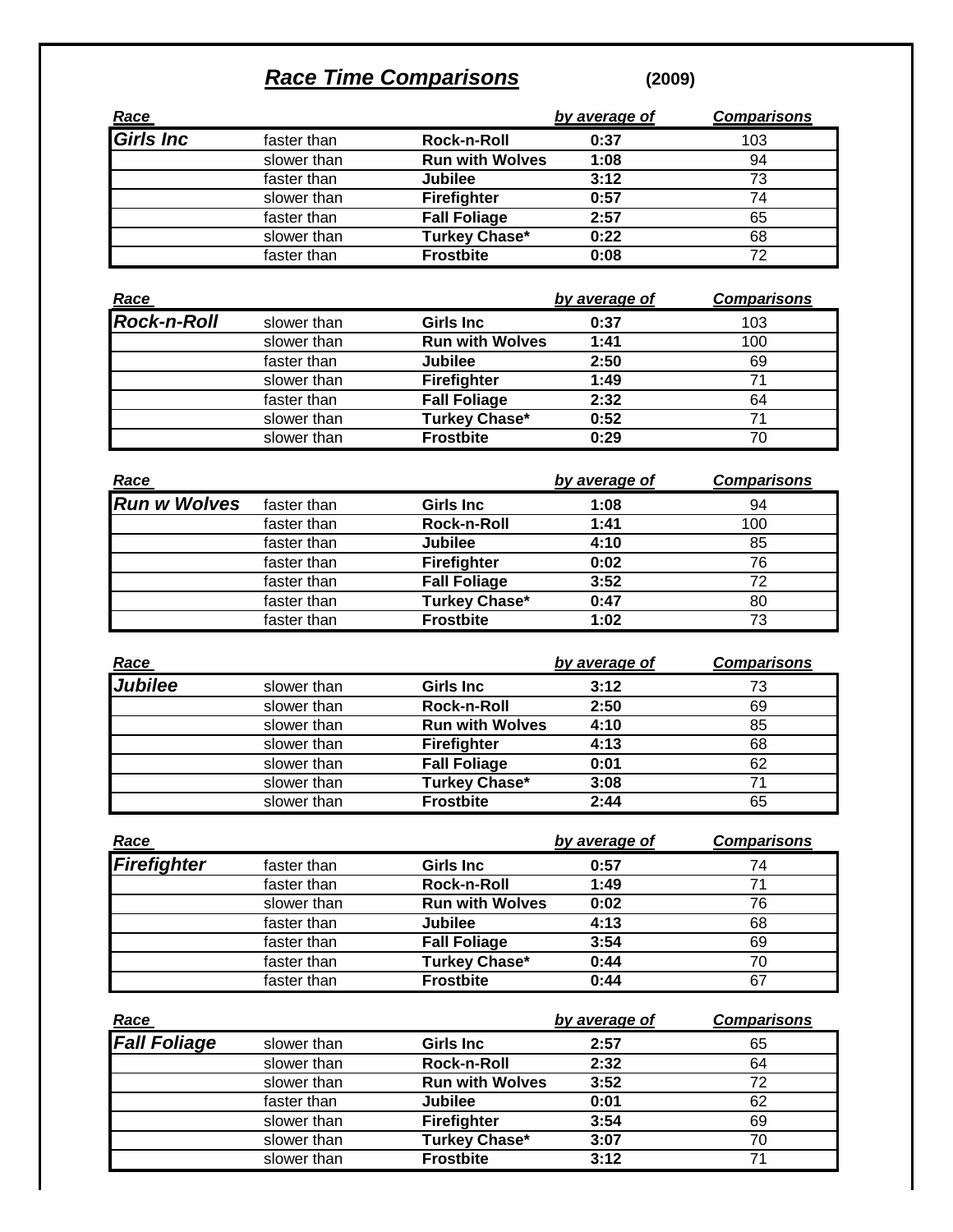## *Race Time Comparisons* **(2009)**

|                          |             |                        | by average of | <b>Comparisons</b> |
|--------------------------|-------------|------------------------|---------------|--------------------|
| <u>Race</u><br>Girls Inc | faster than | Rock-n-Roll            | 0:37          | 103                |
|                          | slower than | <b>Run with Wolves</b> | 1:08          | 94                 |
|                          | faster than | <b>Jubilee</b>         | 3:12          | 73                 |
|                          | slower than | <b>Firefighter</b>     | 0:57          | 74                 |
|                          | faster than | <b>Fall Foliage</b>    | 2:57          | 65                 |
|                          | slower than | <b>Turkey Chase*</b>   | 0:22          | 68                 |
|                          | faster than | <b>Frostbite</b>       | 0:08          | 72                 |
|                          |             |                        |               |                    |

|                     |             |                        | by average of | <b>Comparisons</b> |
|---------------------|-------------|------------------------|---------------|--------------------|
| Race<br>Rock-n-Roll | slower than | <b>Girls Inc.</b>      | 0:37          | 103                |
|                     | slower than | <b>Run with Wolves</b> | 1:41          | 100                |
|                     | faster than | Jubilee                | 2:50          | 69                 |
|                     | slower than | <b>Firefighter</b>     | 1:49          |                    |
|                     | faster than | <b>Fall Foliage</b>    | 2:32          | 64                 |
|                     | slower than | <b>Turkey Chase*</b>   | 0:52          |                    |
|                     | slower than | <b>Frostbite</b>       | 0:29          | 70                 |

| Race                |             |                     | by average of | <b>Comparisons</b> |
|---------------------|-------------|---------------------|---------------|--------------------|
| <b>Run w Wolves</b> | faster than | <b>Girls Inc</b>    | 1:08          | 94                 |
|                     | faster than | Rock-n-Roll         | 1:41          | 100                |
|                     | faster than | <b>Jubilee</b>      | 4:10          | 85                 |
|                     | faster than | <b>Firefighter</b>  | 0:02          | 76                 |
|                     | faster than | <b>Fall Foliage</b> | 3:52          | 72                 |
|                     | faster than | Turkey Chase*       | 0:47          | 80                 |
|                     | faster than | <b>Frostbite</b>    | 1:02          | 73                 |

| Race           |             |                        | by average of | <b>Comparisons</b> |
|----------------|-------------|------------------------|---------------|--------------------|
| <b>Jubilee</b> | slower than | <b>Girls Inc</b>       | 3:12          | 73                 |
|                | slower than | Rock-n-Roll            | 2:50          | 69                 |
|                | slower than | <b>Run with Wolves</b> | 4:10          | 85                 |
|                | slower than | <b>Firefighter</b>     | 4:13          | 68                 |
|                | slower than | <b>Fall Foliage</b>    | 0:01          | 62                 |
|                | slower than | <b>Turkey Chase*</b>   | 3:08          | 71                 |
|                | slower than | <b>Frostbite</b>       | 2:44          | 65                 |

| <u>Race</u> |             |                        | by average of | <b>Comparisons</b> |
|-------------|-------------|------------------------|---------------|--------------------|
| Firefighter | faster than | <b>Girls Inc.</b>      | 0:57          | 74                 |
|             | faster than | Rock-n-Roll            | 1:49          |                    |
|             | slower than | <b>Run with Wolves</b> | 0:02          | 76                 |
|             | faster than | <b>Jubilee</b>         | 4:13          | 68                 |
|             | faster than | <b>Fall Foliage</b>    | 3:54          | 69                 |
|             | faster than | <b>Turkey Chase*</b>   | 0:44          | 70                 |
|             | faster than | <b>Frostbite</b>       | 0:44          | 67                 |

| Race                |             |                        | by average of | <b>Comparisons</b> |
|---------------------|-------------|------------------------|---------------|--------------------|
| <b>Fall Foliage</b> | slower than | <b>Girls Inc.</b>      | 2:57          | 65                 |
|                     | slower than | Rock-n-Roll            | 2:32          | 64                 |
|                     | slower than | <b>Run with Wolves</b> | 3:52          | 72                 |
|                     | faster than | <b>Jubilee</b>         | 0:01          | 62                 |
|                     | slower than | Firefighter            | 3:54          | 69                 |
|                     | slower than | <b>Turkey Chase*</b>   | 3:07          | 70                 |
|                     | slower than | <b>Frostbite</b>       | 3:12          | 71                 |